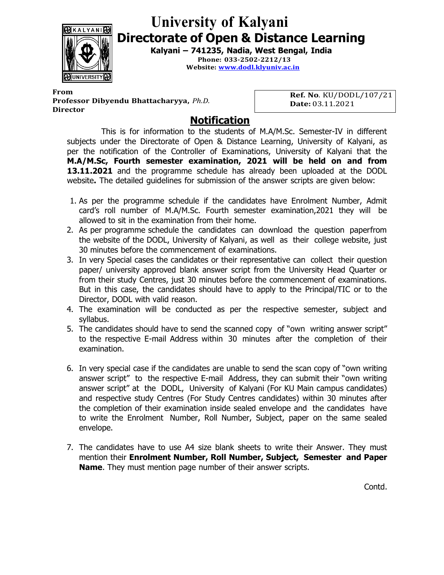

## University of Kalyani Directorate of Open & Distance Learning

Kalyani – 741235, Nadia, West Bengal, India

Phone: 033-2502-2212/13 Website: www.dodl.klyuniv.ac.in

From **From** Professor Dibyendu Bhattacharyya, Ph.D. **Director** 

Ref. No. KU/DODL/107/21 Date: 03.11.2021

## Notification

This is for information to the students of M.A/M.Sc. Semester-IV in different subjects under the Directorate of Open & Distance Learning, University of Kalyani, as per the notification of the Controller of Examinations, University of Kalyani that the M.A/M.Sc, Fourth semester examination, 2021 will be held on and from **13.11.2021** and the programme schedule has already been uploaded at the DODL website. The detailed guidelines for submission of the answer scripts are given below:

- 1. As per the programme schedule if the candidates have Enrolment Number, Admit card's roll number of M.A/M.Sc. Fourth semester examination,2021 they will be allowed to sit in the examination from their home.
- 2. As per programme schedule the candidates can download the question paper from the website of the DODL, University of Kalyani, as well as their college website, just 30 minutes before the commencement of examinations.
- 3. In very Special cases the candidates or their representative can collect their question paper/ university approved blank answer script from the University Head Quarter or from their study Centres, just 30 minutes before the commencement of examinations. But in this case, the candidates should have to apply to the Principal/TIC or to the Director, DODL with valid reason.
- 4. The examination will be conducted as per the respective semester, subject and syllabus.
- 5. The candidates should have to send the scanned copy of "own writing answer script" to the respective E-mail Address within 30 minutes after the completion of their examination.
- 6. In very special case if the candidates are unable to send the scan copy of "own writing answer script" to the respective E-mail Address, they can submit their "own writing answer script" at the DODL, University of Kalyani (For KU Main campus candidates) and respective study Centres (For Study Centres candidates) within 30 minutes after the completion of their examination inside sealed envelope and the candidates have to write the Enrolment Number, Roll Number, Subject, paper on the same sealed envelope.
- 7. The candidates have to use A4 size blank sheets to write their Answer. They must mention their Enrolment Number, Roll Number, Subject, Semester and Paper Name. They must mention page number of their answer scripts.

Contd.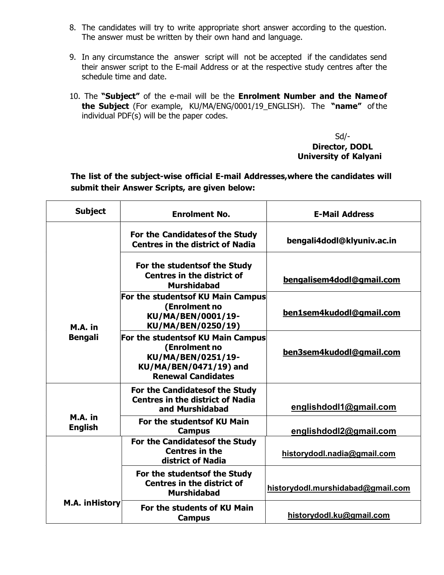- 8. The candidates will try to write appropriate short answer according to the question. The answer must be written by their own hand and language.
- 9. In any circumstance the answer script will not be accepted if the candidates send their answer script to the E-mail Address or at the respective study centres after the schedule time and date.
- 10. The "Subject" of the e-mail will be the Enrolment Number and the Name of the Subject (For example, KU/MA/ENG/0001/19\_ENGLISH). The "name" of the individual PDF(s) will be the paper codes.

Sd/- Director, DODL University of Kalyani

The list of the subject-wise official E-mail Addresses, where the candidates will submit their Answer Scripts, are given below:

| <b>Subject</b>            | <b>Enrolment No.</b>                                                                                                            | <b>E-Mail Address</b>             |
|---------------------------|---------------------------------------------------------------------------------------------------------------------------------|-----------------------------------|
| M.A. in<br><b>Bengali</b> | For the Candidates of the Study<br><b>Centres in the district of Nadia</b>                                                      | bengali4dodl@klyuniv.ac.in        |
|                           | For the studentsof the Study<br><b>Centres in the district of</b><br><b>Murshidabad</b>                                         | bengalisem4dodl@gmail.com         |
|                           | For the studentsof KU Main Campus<br>(Enrolment no<br>KU/MA/BEN/0001/19-<br>KU/MA/BEN/0250/19)                                  | ben1sem4kudodl@gmail.com          |
|                           | For the studentsof KU Main Campus<br>(Enrolment no<br>KU/MA/BEN/0251/19-<br>KU/MA/BEN/0471/19) and<br><b>Renewal Candidates</b> | ben3sem4kudodl@gmail.com          |
|                           | For the Candidatesof the Study<br><b>Centres in the district of Nadia</b><br>and Murshidabad                                    | englishdodl1@gmail.com            |
| M.A. in<br><b>English</b> | For the studentsof KU Main<br><b>Campus</b>                                                                                     | englishdodl2@gmail.com            |
| <b>M.A. inHistory</b>     | For the Candidatesof the Study<br><b>Centres in the</b><br>district of Nadia                                                    | historydodl.nadia@gmail.com       |
|                           | For the studentsof the Study<br><b>Centres in the district of</b><br><b>Murshidabad</b>                                         | historydodl.murshidabad@gmail.com |
|                           | For the students of KU Main<br><b>Campus</b>                                                                                    | historydodl.ku@gmail.com          |